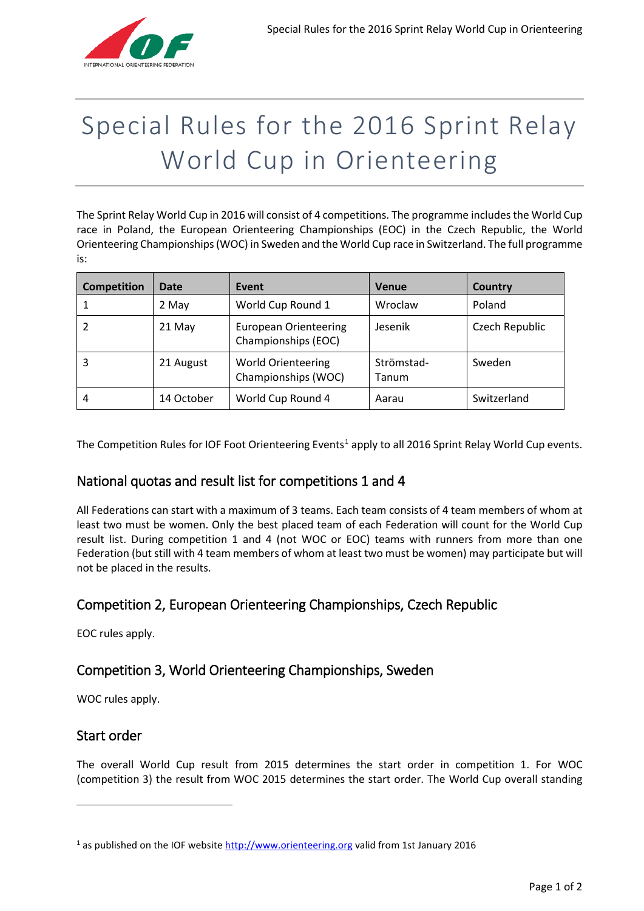

# Special Rules for the 2016 Sprint Relay World Cup in Orienteering

The Sprint Relay World Cup in 2016 will consist of 4 competitions. The programme includes the World Cup race in Poland, the European Orienteering Championships (EOC) in the Czech Republic, the World Orienteering Championships (WOC) in Sweden and the World Cup race in Switzerland. The full programme is:

| <b>Competition</b> | Date       | Event                                               | <b>Venue</b>        | Country        |
|--------------------|------------|-----------------------------------------------------|---------------------|----------------|
|                    | 2 May      | World Cup Round 1                                   | Wroclaw             | Poland         |
|                    | 21 May     | <b>European Orienteering</b><br>Championships (EOC) | Jesenik             | Czech Republic |
| 3                  | 21 August  | <b>World Orienteering</b><br>Championships (WOC)    | Strömstad-<br>Tanum | Sweden         |
| 4                  | 14 October | World Cup Round 4                                   | Aarau               | Switzerland    |

The Competition Rules for IOF Foot Orienteering Events<sup>[1](#page-0-0)</sup> apply to all 2016 Sprint Relay World Cup events.

### National quotas and result list for competitions 1 and 4

All Federations can start with a maximum of 3 teams. Each team consists of 4 team members of whom at least two must be women. Only the best placed team of each Federation will count for the World Cup result list. During competition 1 and 4 (not WOC or EOC) teams with runners from more than one Federation (but still with 4 team members of whom at least two must be women) may participate but will not be placed in the results.

## Competition 2, European Orienteering Championships, Czech Republic

EOC rules apply.

## Competition 3, World Orienteering Championships, Sweden

WOC rules apply.

### Start order

**.** 

The overall World Cup result from 2015 determines the start order in competition 1. For WOC (competition 3) the result from WOC 2015 determines the start order. The World Cup overall standing

<span id="page-0-0"></span> $1$  as published on the IOF website [http://www.orienteering.org](http://www.orienteering.org/) valid from 1st January 2016